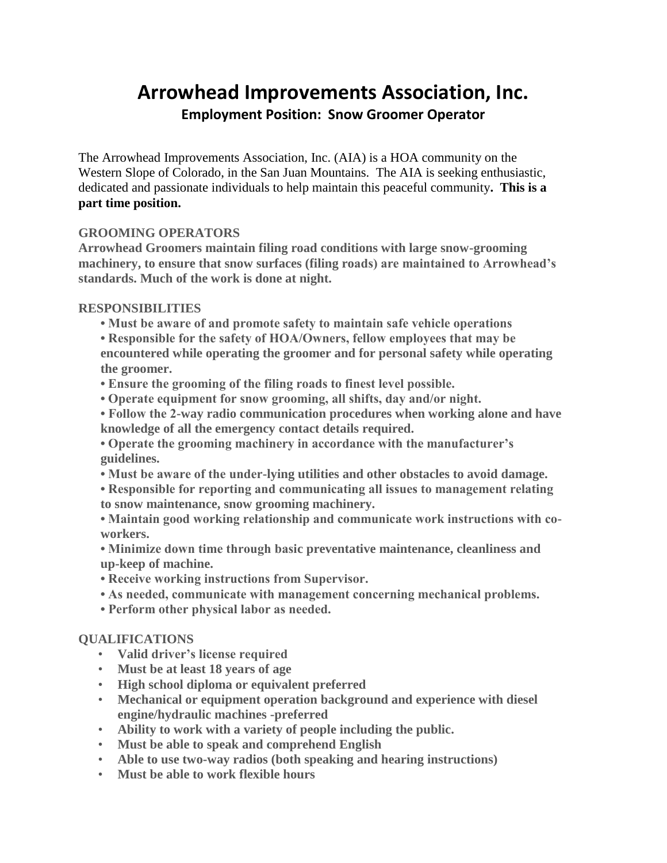# **Arrowhead Improvements Association, Inc. Employment Position: Snow Groomer Operator**

The Arrowhead Improvements Association, Inc. (AIA) is a HOA community on the Western Slope of Colorado, in the San Juan Mountains. The AIA is seeking enthusiastic, dedicated and passionate individuals to help maintain this peaceful community**. This is a part time position.**

# **GROOMING OPERATORS**

**Arrowhead Groomers maintain filing road conditions with large snow-grooming machinery, to ensure that snow surfaces (filing roads) are maintained to Arrowhead's standards. Much of the work is done at night.**

### **RESPONSIBILITIES**

- **Must be aware of and promote safety to maintain safe vehicle operations**
- **Responsible for the safety of HOA/Owners, fellow employees that may be encountered while operating the groomer and for personal safety while operating the groomer.**
- **Ensure the grooming of the filing roads to finest level possible.**
- **Operate equipment for snow grooming, all shifts, day and/or night.**
- **Follow the 2-way radio communication procedures when working alone and have knowledge of all the emergency contact details required.**
- **Operate the grooming machinery in accordance with the manufacturer's guidelines.**
- **Must be aware of the under-lying utilities and other obstacles to avoid damage.**
- **Responsible for reporting and communicating all issues to management relating to snow maintenance, snow grooming machinery.**
- **Maintain good working relationship and communicate work instructions with coworkers.**
- **Minimize down time through basic preventative maintenance, cleanliness and up-keep of machine.**
- **Receive working instructions from Supervisor.**
- **As needed, communicate with management concerning mechanical problems.**
- **Perform other physical labor as needed.**

### **QUALIFICATIONS**

- **Valid driver's license required**
- **Must be at least 18 years of age**
- **High school diploma or equivalent preferred**
- **Mechanical or equipment operation background and experience with diesel engine/hydraulic machines -preferred**
- **Ability to work with a variety of people including the public.**
- **Must be able to speak and comprehend English**
- **Able to use two-way radios (both speaking and hearing instructions)**
- **Must be able to work flexible hours**